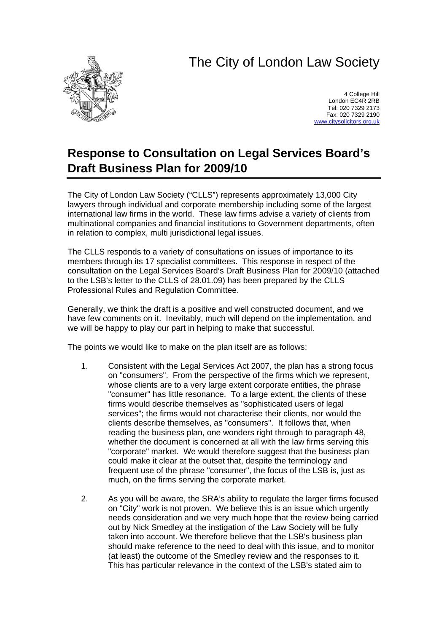## The City of London Law Society



4 College Hill London EC4R 2RB Tel: 020 7329 2173 Fax: 020 7329 2190 [www.citysolicitors.org.uk](http://www.citysolicitors.org.uk/)

## **Response to Consultation on Legal Services Board's Draft Business Plan for 2009/10**

The City of London Law Society ("CLLS") represents approximately 13,000 City lawyers through individual and corporate membership including some of the largest international law firms in the world. These law firms advise a variety of clients from multinational companies and financial institutions to Government departments, often in relation to complex, multi jurisdictional legal issues.

The CLLS responds to a variety of consultations on issues of importance to its members through its 17 specialist committees. This response in respect of the consultation on the Legal Services Board's Draft Business Plan for 2009/10 (attached to the LSB's letter to the CLLS of 28.01.09) has been prepared by the CLLS Professional Rules and Regulation Committee.

Generally, we think the draft is a positive and well constructed document, and we have few comments on it. Inevitably, much will depend on the implementation, and we will be happy to play our part in helping to make that successful.

The points we would like to make on the plan itself are as follows:

- 1. Consistent with the Legal Services Act 2007, the plan has a strong focus on "consumers". From the perspective of the firms which we represent, whose clients are to a very large extent corporate entities, the phrase "consumer" has little resonance. To a large extent, the clients of these firms would describe themselves as "sophisticated users of legal services"; the firms would not characterise their clients, nor would the clients describe themselves, as "consumers". It follows that, when reading the business plan, one wonders right through to paragraph 48, whether the document is concerned at all with the law firms serving this "corporate" market. We would therefore suggest that the business plan could make it clear at the outset that, despite the terminology and frequent use of the phrase "consumer", the focus of the LSB is, just as much, on the firms serving the corporate market.
- 2. As you will be aware, the SRA's ability to regulate the larger firms focused on "City" work is not proven. We believe this is an issue which urgently needs consideration and we very much hope that the review being carried out by Nick Smedley at the instigation of the Law Society will be fully taken into account. We therefore believe that the LSB's business plan should make reference to the need to deal with this issue, and to monitor (at least) the outcome of the Smedley review and the responses to it. This has particular relevance in the context of the LSB's stated aim to